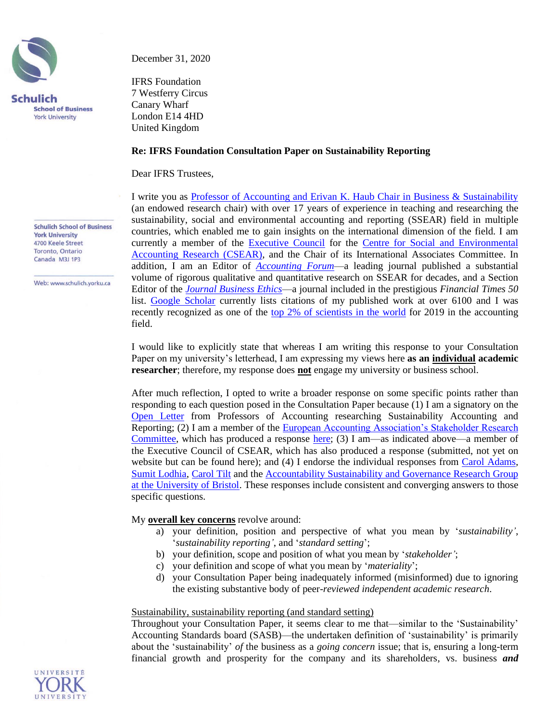

December 31, 2020

IFRS Foundation 7 Westferry Circus Canary Wharf London E14 4HD United Kingdom

## **Re: IFRS Foundation Consultation Paper on Sustainability Reporting**

Dear IFRS Trustees,

I write you as [Professor of Accounting and Erivan K. Haub Chair in Business & Sustainability](https://schulich.yorku.ca/faculty/charles-cho/) (an endowed research chair) with over 17 years of experience in teaching and researching the sustainability, social and environmental accounting and reporting (SSEAR) field in multiple countries, which enabled me to gain insights on the international dimension of the field. I am currently a member of the [Executive Council](https://www.st-andrews.ac.uk/csear/about/structure/) for the [Centre for Social and Environmental](https://www.st-andrews.ac.uk/csear/)  [Accounting Research \(CSEAR\),](https://www.st-andrews.ac.uk/csear/) and the Chair of its International Associates Committee. In addition, I am an Editor of *[Accounting Forum](https://www.tandfonline.com/toc/racc20/current)*—a leading journal published a substantial volume of rigorous qualitative and quantitative research on SSEAR for decades, and a Section Editor of the *[Journal Business Ethics](https://www.springer.com/journal/10551)*—a journal included in the prestigious *Financial Times 50* list. [Google Scholar](https://scholar.google.ca/citations?user=GQVLXQUAAAAJ&hl=en&oi=ao) currently lists citations of my published work at over 6100 and I was recently recognized as one of the [top 2% of scientists](https://journals.plos.org/plosbiology/article?id=10.1371/journal.pbio.3000918) in the world for 2019 in the accounting field.

I would like to explicitly state that whereas I am writing this response to your Consultation Paper on my university's letterhead, I am expressing my views here **as an individual academic researcher**; therefore, my response does **not** engage my university or business school.

After much reflection, I opted to write a broader response on some specific points rather than responding to each question posed in the Consultation Paper because (1) I am a signatory on the [Open Letter](https://arc.eaa-online.org/blog/open-letter-chair-ifrs-foundation-trustees) from Professors of Accounting researching Sustainability Accounting and Reporting; (2) I am a member of the [European Accounting Association's Stakeholder Research](http://www.eaa-online.org/r/SRC)  [Committee,](http://www.eaa-online.org/r/SRC) which has produced a response [here;](http://eifrs.ifrs.org/eifrs/comment_letters/570/570_27599_BEGONAGINERStakeholderReportingCommitteeoftheEuropeanAccountingAssociation_0_LetterIFRSCPfinal24_12.pdf) (3) I am—as indicated above—a member of the Executive Council of CSEAR, which has also produced a response (submitted, not yet on website but can be found here); and (4) I endorse the individual responses from [Carol Adams,](http://eifrs.ifrs.org/eifrs/comment_letters/570/570_27003_CarolAdamsIndividual_0_ProfessorCarolAdams.pdf) [Sumit Lodhia,](http://eifrs.ifrs.org/eifrs/comment_letters/570/570_27217_SumitLodhiaIndividual_0_SumitLodhiaResponse.pdf) [Carol Tilt](http://eifrs.ifrs.org/eifrs/comment_letters/570/570_27159_CarolTiltIndividual_0_CommentonIFRSSustainabilityReporting_CarolTilt.pdf) and the [Accountability Sustainability and Governance Research Group](http://eifrs.ifrs.org/eifrs/comment_letters/570/570_27415_GiovannaMichelonAccountabilitySustainabilityandGovernanceResearchGroupattheSchoolofAccountingandFinanceoftheUniversityofBristol_0_ASGGroupBristol_IFRSconsultation.pdf)  [at the University of Bristol.](http://eifrs.ifrs.org/eifrs/comment_letters/570/570_27415_GiovannaMichelonAccountabilitySustainabilityandGovernanceResearchGroupattheSchoolofAccountingandFinanceoftheUniversityofBristol_0_ASGGroupBristol_IFRSconsultation.pdf) These responses include consistent and converging answers to those specific questions.

### My **overall key concerns** revolve around:

- a) your definition, position and perspective of what you mean by '*sustainability'*, '*sustainability reporting'*, and '*standard setting*';
- b) your definition, scope and position of what you mean by '*stakeholder'*;
- c) your definition and scope of what you mean by '*materiality*';
- d) your Consultation Paper being inadequately informed (misinformed) due to ignoring the existing substantive body of peer-*reviewed independent academic research*.

#### Sustainability, sustainability reporting (and standard setting)

Throughout your Consultation Paper, it seems clear to me that—similar to the 'Sustainability' Accounting Standards board (SASB)—the undertaken definition of 'sustainability' is primarily about the 'sustainability' *of* the business as a *going concern* issue; that is, ensuring a long-term financial growth and prosperity for the company and its shareholders, vs. business *and*



Web: www.schulich.vorku.ca

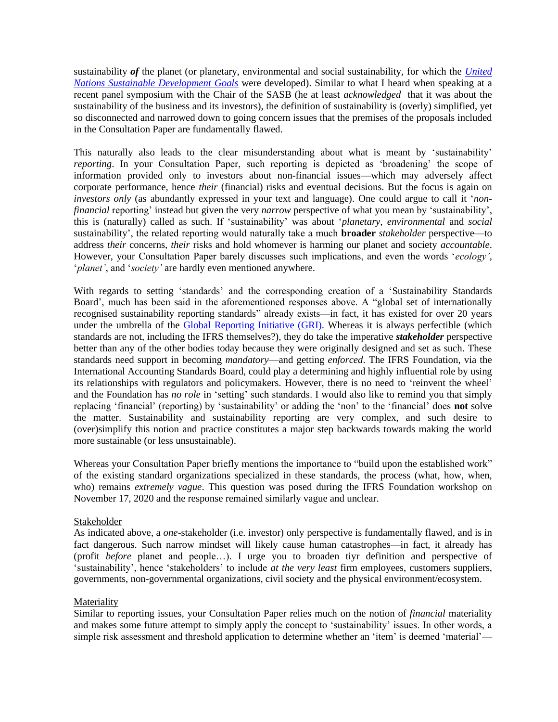sustainability *of* the planet (or planetary, environmental and social sustainability, for which the *[United](https://sdgs.un.org/goals)  Nations [Sustainable Development Goals](https://sdgs.un.org/goals)* were developed). Similar to what I heard when speaking at a recent panel symposium with the Chair of the SASB (he at least *acknowledged* that it was about the sustainability of the business and its investors), the definition of sustainability is (overly) simplified, yet so disconnected and narrowed down to going concern issues that the premises of the proposals included in the Consultation Paper are fundamentally flawed.

This naturally also leads to the clear misunderstanding about what is meant by 'sustainability' *reporting*. In your Consultation Paper, such reporting is depicted as 'broadening' the scope of information provided only to investors about non-financial issues—which may adversely affect corporate performance, hence *their* (financial) risks and eventual decisions. But the focus is again on *investors only* (as abundantly expressed in your text and language). One could argue to call it '*nonfinancial* reporting' instead but given the very *narrow* perspective of what you mean by 'sustainability', this is (naturally) called as such. If 'sustainability' was about '*planetary*, *environmental* and *social* sustainability', the related reporting would naturally take a much **broader** *stakeholder* perspective—to address *their* concerns, *their* risks and hold whomever is harming our planet and society *accountable*. However, your Consultation Paper barely discusses such implications, and even the words '*ecology'*, '*planet'*, and '*society'* are hardly even mentioned anywhere.

With regards to setting 'standards' and the corresponding creation of a 'Sustainability Standards Board', much has been said in the aforementioned responses above. A "global set of internationally recognised sustainability reporting standards" already exists—in fact, it has existed for over 20 years under the umbrella of the [Global Reporting Initiative](https://www.globalreporting.org/) (GRI). Whereas it is always perfectible (which standards are not, including the IFRS themselves?), they do take the imperative *stakeholder* perspective better than any of the other bodies today because they were originally designed and set as such. These standards need support in becoming *mandatory*—and getting *enforced*. The IFRS Foundation, via the International Accounting Standards Board, could play a determining and highly influential role by using its relationships with regulators and policymakers. However, there is no need to 'reinvent the wheel' and the Foundation has *no role* in 'setting' such standards. I would also like to remind you that simply replacing 'financial' (reporting) by 'sustainability' or adding the 'non' to the 'financial' does **not** solve the matter. Sustainability and sustainability reporting are very complex, and such desire to (over)simplify this notion and practice constitutes a major step backwards towards making the world more sustainable (or less unsustainable).

Whereas your Consultation Paper briefly mentions the importance to "build upon the established work" of the existing standard organizations specialized in these standards, the process (what, how, when, who) remains *extremely vague*. This question was posed during the IFRS Foundation workshop on November 17, 2020 and the response remained similarly vague and unclear.

# Stakeholder

As indicated above, a *one*-stakeholder (i.e. investor) only perspective is fundamentally flawed, and is in fact dangerous. Such narrow mindset will likely cause human catastrophes—in fact, it already has (profit *before* planet and people…). I urge you to broaden tiyr definition and perspective of 'sustainability', hence 'stakeholders' to include *at the very least* firm employees, customers suppliers, governments, non-governmental organizations, civil society and the physical environment/ecosystem.

# Materiality

Similar to reporting issues, your Consultation Paper relies much on the notion of *financial* materiality and makes some future attempt to simply apply the concept to 'sustainability' issues. In other words, a simple risk assessment and threshold application to determine whether an 'item' is deemed 'material'—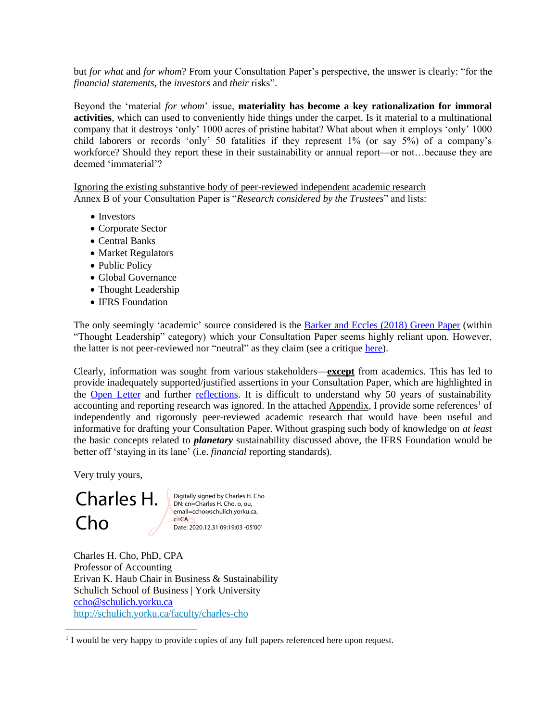but *for what* and *for whom*? From your Consultation Paper's perspective, the answer is clearly: "for the *financial statements*, the *investors* and *their* risks".

Beyond the 'material *for whom*' issue, **materiality has become a key rationalization for immoral activities**, which can used to conveniently hide things under the carpet. Is it material to a multinational company that it destroys 'only' 1000 acres of pristine habitat? What about when it employs 'only' 1000 child laborers or records 'only' 50 fatalities if they represent 1% (or say 5%) of a company's workforce? Should they report these in their sustainability or annual report—or not…because they are deemed 'immaterial'?

Ignoring the existing substantive body of peer-reviewed independent academic research Annex B of your Consultation Paper is "*Research considered by the Trustees*" and lists:

- Investors
- Corporate Sector
- Central Banks
- Market Regulators
- Public Policy
- Global Governance
- Thought Leadership
- IFRS Foundation

The only seemingly 'academic' source considered is the [Barker and Eccles \(2018\) Green Paper](https://www.sbs.ox.ac.uk/sites/default/files/2018-10/Green%20Paper_0.pdf) (within "Thought Leadership" category) which your Consultation Paper seems highly reliant upon. However, the latter is not peer-reviewed nor "neutral" as they claim (see a critique [here\)](https://www.responsible-investor.com/articles/sustainable-development-is-too-important-for-self-interest-and-political-posturing).

Clearly, information was sought from various stakeholders—**except** from academics. This has led to provide inadequately supported/justified assertions in your Consultation Paper, which are highlighted in the [Open Letter](https://arc.eaa-online.org/blog/open-letter-chair-ifrs-foundation-trustees) and further [reflections.](https://arc.eaa-online.org/blog/some-reflections-consultation-paper-sustainability-reporting-published-ifrs-foundation) It is difficult to understand why 50 years of sustainability accounting and reporting research was ignored. In the attached Appendix, I provide some references<sup>1</sup> of independently and rigorously peer-reviewed academic research that would have been useful and informative for drafting your Consultation Paper. Without grasping such body of knowledge on *at least* the basic concepts related to *planetary* sustainability discussed above, the IFRS Foundation would be better off 'staying in its lane' (i.e. *financial* reporting standards).

Very truly yours,

#### Charles H. Cho Digitally signed by Charles H. Cho DN: cn=Charles H. Cho, o, ou, email=ccho@schulich.yorku.ca,  $c = CA$ Date: 2020.12.31 09:19:03 -05'00'

Charles H. Cho, PhD, CPA Professor of Accounting Erivan K. Haub Chair in Business & Sustainability Schulich School of Business | York University [ccho@schulich.yorku.ca](mailto:ccho@schulich.yorku.ca) <http://schulich.yorku.ca/faculty/charles-cho>

<sup>1</sup> I would be very happy to provide copies of any full papers referenced here upon request.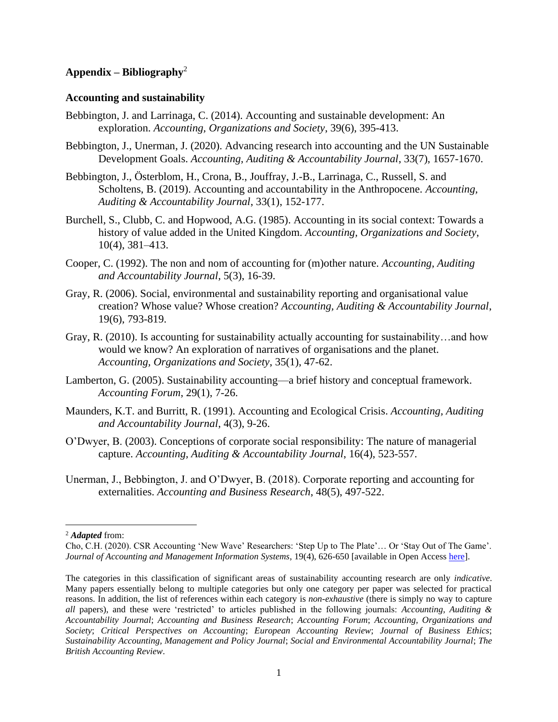# **Appendix – Bibliography**<sup>2</sup>

### **Accounting and sustainability**

- Bebbington, J. and Larrinaga, C. (2014). Accounting and sustainable development: An exploration. *Accounting, Organizations and Society*, 39(6), 395-413.
- Bebbington, J., Unerman, J. (2020). Advancing research into accounting and the UN Sustainable Development Goals. *Accounting, Auditing & Accountability Journal*, 33(7), 1657-1670.
- Bebbington, J., Österblom, H., Crona, B., Jouffray, J.-B., Larrinaga, C., Russell, S. and Scholtens, B. (2019). Accounting and accountability in the Anthropocene. *Accounting, Auditing & Accountability Journal*, 33(1), 152-177.
- Burchell, S., Clubb, C. and Hopwood, A.G. (1985). Accounting in its social context: Towards a history of value added in the United Kingdom. *Accounting, Organizations and Society*, 10(4), 381–413.
- Cooper, C. (1992). The non and nom of accounting for (m)other nature. *Accounting, Auditing and Accountability Journal*, 5(3), 16-39.
- Gray, R. (2006). Social, environmental and sustainability reporting and organisational value creation? Whose value? Whose creation? *Accounting, Auditing & Accountability Journal*, 19(6), 793-819.
- Gray, R. (2010). Is accounting for sustainability actually accounting for sustainability…and how would we know? An exploration of narratives of organisations and the planet. *Accounting, Organizations and Society*, 35(1), 47-62.
- Lamberton, G. (2005). Sustainability accounting—a brief history and conceptual framework. *Accounting Forum*, 29(1), 7-26.
- Maunders, K.T. and Burritt, R. (1991). Accounting and Ecological Crisis. *Accounting, Auditing and Accountability Journal*, 4(3), 9-26.
- O'Dwyer, B. (2003). Conceptions of corporate social responsibility: The nature of managerial capture. *Accounting, Auditing & Accountability Journal*, 16(4), 523-557.
- Unerman, J., Bebbington, J. and O'Dwyer, B. (2018). Corporate reporting and accounting for externalities. *Accounting and Business Research*, 48(5), 497-522.

<sup>2</sup> *Adapted* from:

Cho, C.H. (2020). CSR Accounting 'New Wave' Researchers: 'Step Up to The Plate'… Or 'Stay Out of The Game'. *Journal of Accounting and Management Information Systems*, 19(4), 626-650 [available in Open Acces[s here\]](http://online-cig.ase.ro/jcig/art/19_4_1.pdf).

The categories in this classification of significant areas of sustainability accounting research are only *indicative*. Many papers essentially belong to multiple categories but only one category per paper was selected for practical reasons. In addition, the list of references within each category is *non-exhaustive* (there is simply no way to capture *all* papers), and these were 'restricted' to articles published in the following journals: *Accounting, Auditing & Accountability Journal*; *Accounting and Business Research*; *Accounting Forum*; *Accounting, Organizations and Society*; *Critical Perspectives on Accounting*; *European Accounting Review*; *Journal of Business Ethics*; *Sustainability Accounting, Management and Policy Journal*; *Social and Environmental Accountability Journal*; *The British Accounting Review*.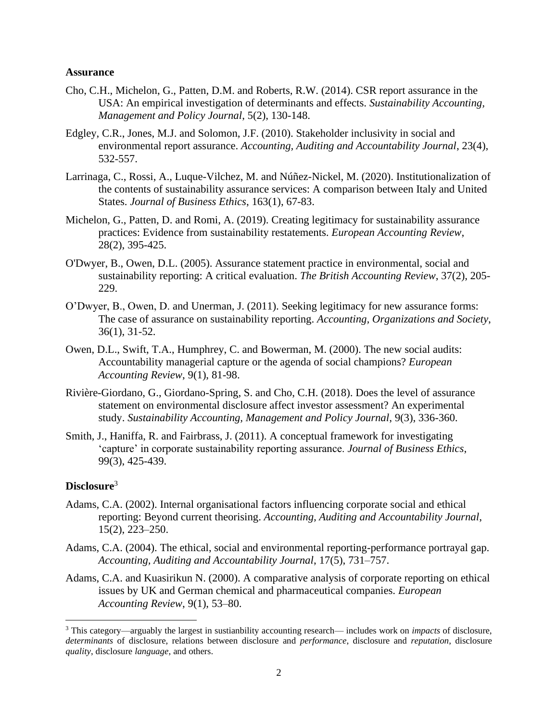# **Assurance**

- Cho, C.H., Michelon, G., Patten, D.M. and Roberts, R.W. (2014). CSR report assurance in the USA: An empirical investigation of determinants and effects. *Sustainability Accounting, Management and Policy Journal*, 5(2), 130-148.
- Edgley, C.R., Jones, M.J. and Solomon, J.F. (2010). Stakeholder inclusivity in social and environmental report assurance. *Accounting, Auditing and Accountability Journal*, 23(4), 532-557.
- Larrinaga, C., Rossi, A., Luque-Vilchez, M. and Núñez-Nickel, M. (2020). Institutionalization of the contents of sustainability assurance services: A comparison between Italy and United States. *Journal of Business Ethics*, 163(1), 67-83.
- Michelon, G., Patten, D. and Romi, A. (2019). Creating legitimacy for sustainability assurance practices: Evidence from sustainability restatements. *European Accounting Review*, 28(2), 395-425.
- O'Dwyer, B., Owen, D.L. (2005). Assurance statement practice in environmental, social and sustainability reporting: A critical evaluation. *The British Accounting Review*, 37(2), 205- 229.
- O'Dwyer, B., Owen, D. and Unerman, J. (2011). Seeking legitimacy for new assurance forms: The case of assurance on sustainability reporting. *Accounting, Organizations and Society*, 36(1), 31-52.
- Owen, D.L., Swift, T.A., Humphrey, C. and Bowerman, M. (2000). The new social audits: Accountability managerial capture or the agenda of social champions? *European Accounting Review*, 9(1), 81-98.
- Rivière-Giordano, G., Giordano-Spring, S. and Cho, C.H. (2018). Does the level of assurance statement on environmental disclosure affect investor assessment? An experimental study. *Sustainability Accounting, Management and Policy Journal*, 9(3), 336-360.
- Smith, J., Haniffa, R. and Fairbrass, J. (2011). A conceptual framework for investigating 'capture' in corporate sustainability reporting assurance. *Journal of Business Ethics*, 99(3), 425-439.

# **Disclosure**<sup>3</sup>

- Adams, C.A. (2002). Internal organisational factors influencing corporate social and ethical reporting: Beyond current theorising. *Accounting, Auditing and Accountability Journal*, 15(2), 223–250.
- Adams, C.A. (2004). The ethical, social and environmental reporting-performance portrayal gap. *Accounting, Auditing and Accountability Journal*, 17(5), 731–757.
- Adams, C.A. and Kuasirikun N. (2000). A comparative analysis of corporate reporting on ethical issues by UK and German chemical and pharmaceutical companies. *European Accounting Review*, 9(1), 53–80.

<sup>3</sup> This category—arguably the largest in sustianbility accounting research— includes work on *impacts* of disclosure, *determinants* of disclosure, relations between disclosure and *performance*, disclosure and *reputation*, disclosure *quality*, disclosure *language*, and others.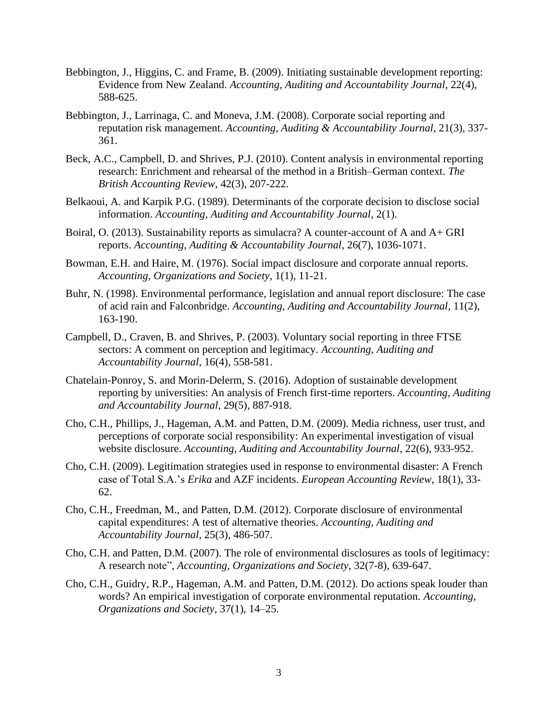- Bebbington, J., Higgins, C. and Frame, B. (2009). Initiating sustainable development reporting: Evidence from New Zealand. *Accounting, Auditing and Accountability Journal*, 22(4), 588-625.
- Bebbington, J., Larrinaga, C. and Moneva, J.M. (2008). Corporate social reporting and reputation risk management. *Accounting, Auditing & Accountability Journal*, 21(3), 337- 361.
- Beck, A.C., Campbell, D. and Shrives, P.J. (2010). Content analysis in environmental reporting research: Enrichment and rehearsal of the method in a British–German context. *The British Accounting Review*, 42(3), 207-222.
- Belkaoui, A. and Karpik P.G. (1989). Determinants of the corporate decision to disclose social information. *Accounting, Auditing and Accountability Journal*, 2(1).
- Boiral, O. (2013). Sustainability reports as simulacra? A counter-account of A and A+ GRI reports. *Accounting, Auditing & Accountability Journal*, 26(7), 1036-1071.
- Bowman, E.H. and Haire, M. (1976). Social impact disclosure and corporate annual reports. *Accounting, Organizations and Society*, 1(1), 11-21.
- Buhr, N. (1998). Environmental performance, legislation and annual report disclosure: The case of acid rain and Falconbridge. *Accounting, Auditing and Accountability Journal*, 11(2), 163-190.
- Campbell, D., Craven, B. and Shrives, P. (2003). Voluntary social reporting in three FTSE sectors: A comment on perception and legitimacy. *Accounting, Auditing and Accountability Journal*, 16(4), 558-581.
- Chatelain-Ponroy, S. and Morin-Delerm, S. (2016). Adoption of sustainable development reporting by universities: An analysis of French first-time reporters. *Accounting, Auditing and Accountability Journal*, 29(5), 887-918.
- Cho, C.H., Phillips, J., Hageman, A.M. and Patten, D.M. (2009). Media richness, user trust, and perceptions of corporate social responsibility: An experimental investigation of visual website disclosure. *Accounting, Auditing and Accountability Journal*, 22(6), 933-952.
- Cho, C.H. (2009). Legitimation strategies used in response to environmental disaster: A French case of Total S.A.'s *Erika* and AZF incidents. *European Accounting Review*, 18(1), 33- 62.
- Cho, C.H., Freedman, M., and Patten, D.M. (2012). Corporate disclosure of environmental capital expenditures: A test of alternative theories. *Accounting, Auditing and Accountability Journal*, 25(3), 486-507.
- Cho, C.H. and Patten, D.M. (2007). The role of environmental disclosures as tools of legitimacy: A research note", *Accounting, Organizations and Society*, 32(7-8), 639-647.
- Cho, C.H., Guidry, R.P., Hageman, A.M. and Patten, D.M. (2012). Do actions speak louder than words? An empirical investigation of corporate environmental reputation. *Accounting, Organizations and Society*, 37(1), 14–25.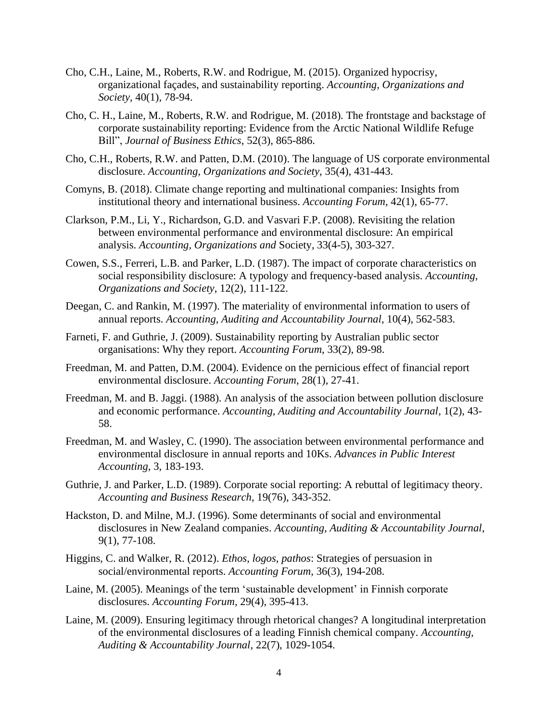- Cho, C.H., Laine, M., Roberts, R.W. and Rodrigue, M. (2015). Organized hypocrisy, organizational façades, and sustainability reporting. *Accounting, Organizations and Society*, 40(1), 78-94.
- Cho, C. H., Laine, M., Roberts, R.W. and Rodrigue, M. (2018). The frontstage and backstage of corporate sustainability reporting: Evidence from the Arctic National Wildlife Refuge Bill", *Journal of Business Ethics*, 52(3), 865-886.
- Cho, C.H., Roberts, R.W. and Patten, D.M. (2010). The language of US corporate environmental disclosure. *Accounting, Organizations and Society*, 35(4), 431-443.
- Comyns, B. (2018). Climate change reporting and multinational companies: Insights from institutional theory and international business. *Accounting Forum*, 42(1), 65-77.
- Clarkson, P.M., Li, Y., Richardson, G.D. and Vasvari F.P. (2008). Revisiting the relation between environmental performance and environmental disclosure: An empirical analysis. *Accounting, Organizations and* Society, 33(4-5), 303-327.
- Cowen, S.S., Ferreri, L.B. and Parker, L.D. (1987). The impact of corporate characteristics on social responsibility disclosure: A typology and frequency-based analysis. *Accounting, Organizations and Society*, 12(2), 111-122.
- Deegan, C. and Rankin, M. (1997). The materiality of environmental information to users of annual reports. *Accounting, Auditing and Accountability Journal*, 10(4), 562-583.
- Farneti, F. and Guthrie, J. (2009). Sustainability reporting by Australian public sector organisations: Why they report. *Accounting Forum*, 33(2), 89-98.
- Freedman, M. and Patten, D.M. (2004). Evidence on the pernicious effect of financial report environmental disclosure. *Accounting Forum*, 28(1), 27-41.
- Freedman, M. and B. Jaggi. (1988). An analysis of the association between pollution disclosure and economic performance. *Accounting, Auditing and Accountability Journal*, 1(2), 43- 58.
- Freedman, M. and Wasley, C. (1990). The association between environmental performance and environmental disclosure in annual reports and 10Ks. *Advances in Public Interest Accounting*, 3, 183-193.
- Guthrie, J. and Parker, L.D. (1989). Corporate social reporting: A rebuttal of legitimacy theory. *Accounting and Business Research*, 19(76), 343-352.
- Hackston, D. and Milne, M.J. (1996). Some determinants of social and environmental disclosures in New Zealand companies. *Accounting, Auditing & Accountability Journal*, 9(1), 77-108.
- Higgins, C. and Walker, R. (2012). *Ethos*, *logos*, *pathos*: Strategies of persuasion in social/environmental reports. *Accounting Forum*, 36(3), 194-208.
- Laine, M. (2005). Meanings of the term 'sustainable development' in Finnish corporate disclosures. *Accounting Forum*, 29(4), 395-413.
- Laine, M. (2009). Ensuring legitimacy through rhetorical changes? A longitudinal interpretation of the environmental disclosures of a leading Finnish chemical company. *Accounting, Auditing & Accountability Journal,* 22(7), 1029-1054.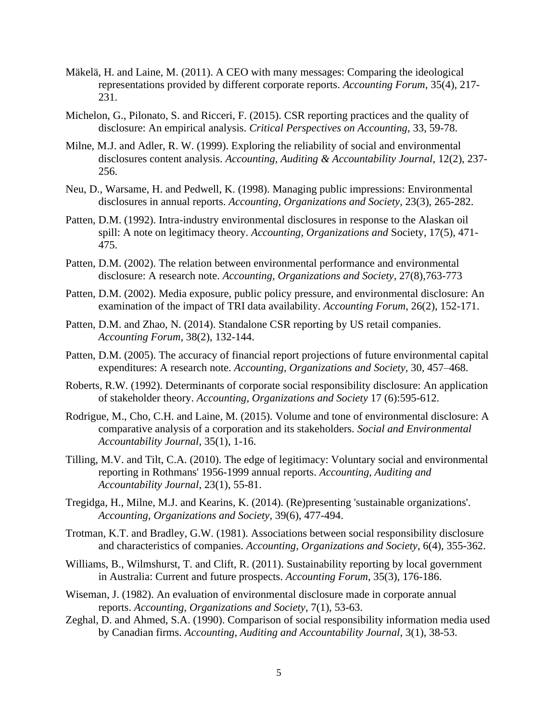- Mäkelä, H. and Laine, M. (2011). A CEO with many messages: Comparing the ideological representations provided by different corporate reports. *Accounting Forum*, 35(4), 217- 231.
- Michelon, G., Pilonato, S. and Ricceri, F. (2015). CSR reporting practices and the quality of disclosure: An empirical analysis. *Critical Perspectives on Accounting*, 33, 59-78.
- Milne, M.J. and Adler, R. W. (1999). Exploring the reliability of social and environmental disclosures content analysis. *Accounting, Auditing & Accountability Journal*, 12(2), 237- 256.
- Neu, D., Warsame, H. and Pedwell, K. (1998). Managing public impressions: Environmental disclosures in annual reports. *Accounting, Organizations and Society*, 23(3), 265-282.
- Patten, D.M. (1992). Intra-industry environmental disclosures in response to the Alaskan oil spill: A note on legitimacy theory. *Accounting, Organizations and* Society, 17(5), 471- 475.
- Patten, D.M. (2002). The relation between environmental performance and environmental disclosure: A research note. *Accounting, Organizations and Society*, 27(8),763-773
- Patten, D.M. (2002). Media exposure, public policy pressure, and environmental disclosure: An examination of the impact of TRI data availability. *Accounting Forum*, 26(2), 152-171.
- Patten, D.M. and Zhao, N. (2014). Standalone CSR reporting by US retail companies. *Accounting Forum*, 38(2), 132-144.
- Patten, D.M. (2005). The accuracy of financial report projections of future environmental capital expenditures: A research note. *Accounting, Organizations and Society*, 30, 457–468.
- Roberts, R.W. (1992). Determinants of corporate social responsibility disclosure: An application of stakeholder theory. *Accounting, Organizations and Society* 17 (6):595-612.
- Rodrigue, M., Cho, C.H. and Laine, M. (2015). Volume and tone of environmental disclosure: A comparative analysis of a corporation and its stakeholders. *Social and Environmental Accountability Journal*, 35(1), 1-16.
- Tilling, M.V. and Tilt, C.A. (2010). The edge of legitimacy: Voluntary social and environmental reporting in Rothmans' 1956-1999 annual reports. *Accounting, Auditing and Accountability Journal*, 23(1), 55-81.
- Tregidga, H., Milne, M.J. and Kearins, K. (2014). (Re)presenting 'sustainable organizations'. *Accounting, Organizations and Society*, 39(6), 477-494.
- Trotman, K.T. and Bradley, G.W. (1981). Associations between social responsibility disclosure and characteristics of companies. *Accounting, Organizations and Society*, 6(4), 355-362.
- Williams, B., Wilmshurst, T. and Clift, R. (2011). Sustainability reporting by local government in Australia: Current and future prospects. *Accounting Forum*, 35(3), 176-186.
- Wiseman, J. (1982). An evaluation of environmental disclosure made in corporate annual reports. *Accounting, Organizations and Society*, 7(1), 53-63.
- Zeghal, D. and Ahmed, S.A. (1990). Comparison of social responsibility information media used by Canadian firms. *Accounting, Auditing and Accountability Journal*, 3(1), 38-53.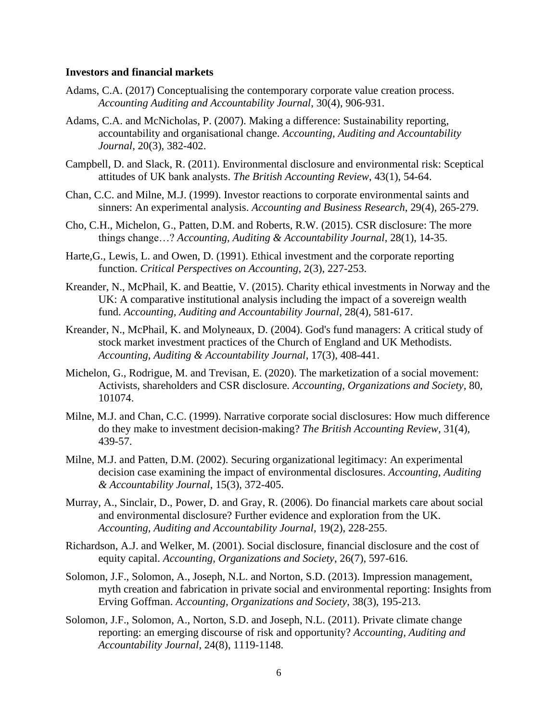## **Investors and financial markets**

- Adams, C.A. (2017) Conceptualising the contemporary corporate value creation process. *Accounting Auditing and Accountability Journal*, 30(4), 906-931.
- Adams, C.A. and McNicholas, P. (2007). Making a difference: Sustainability reporting, accountability and organisational change. *Accounting, Auditing and Accountability Journal*, 20(3), 382-402.
- Campbell, D. and Slack, R. (2011). Environmental disclosure and environmental risk: Sceptical attitudes of UK bank analysts. *The British Accounting Review*, 43(1), 54-64.
- Chan, C.C. and Milne, M.J. (1999). Investor reactions to corporate environmental saints and sinners: An experimental analysis. *Accounting and Business Research*, 29(4), 265-279.
- Cho, C.H., Michelon, G., Patten, D.M. and Roberts, R.W. (2015). CSR disclosure: The more things change…? *Accounting, Auditing & Accountability Journal*, 28(1), 14-35.
- Harte,G., Lewis, L. and Owen, D. (1991). Ethical investment and the corporate reporting function. *Critical Perspectives on Accounting*, 2(3), 227-253.
- Kreander, N., McPhail, K. and Beattie, V. (2015). Charity ethical investments in Norway and the UK: A comparative institutional analysis including the impact of a sovereign wealth fund. *Accounting, Auditing and Accountability Journal*, 28(4), 581-617.
- Kreander, N., McPhail, K. and Molyneaux, D. (2004). God's fund managers: A critical study of stock market investment practices of the Church of England and UK Methodists. *Accounting, Auditing & Accountability Journal*, 17(3), 408-441.
- Michelon, G., Rodrigue, M. and Trevisan, E. (2020). The marketization of a social movement: Activists, shareholders and CSR disclosure. *Accounting, Organizations and Society*, 80, 101074.
- Milne, M.J. and Chan, C.C. (1999). Narrative corporate social disclosures: How much difference do they make to investment decision-making? *The British Accounting Review*, 31(4), 439-57.
- Milne, M.J. and Patten, D.M. (2002). Securing organizational legitimacy: An experimental decision case examining the impact of environmental disclosures. *Accounting, Auditing & Accountability Journal*, 15(3), 372-405.
- Murray, A., Sinclair, D., Power, D. and Gray, R. (2006). Do financial markets care about social and environmental disclosure? Further evidence and exploration from the UK. *Accounting, Auditing and Accountability Journal*, 19(2), 228-255.
- Richardson, A.J. and Welker, M. (2001). Social disclosure, financial disclosure and the cost of equity capital. *Accounting, Organizations and Society*, 26(7), 597-616.
- Solomon, J.F., Solomon, A., Joseph, N.L. and Norton, S.D. (2013). Impression management, myth creation and fabrication in private social and environmental reporting: Insights from Erving Goffman. *Accounting, Organizations and Society*, 38(3), 195-213.
- Solomon, J.F., Solomon, A., Norton, S.D. and Joseph, N.L. (2011). Private climate change reporting: an emerging discourse of risk and opportunity? *Accounting, Auditing and Accountability Journal*, 24(8), 1119-1148.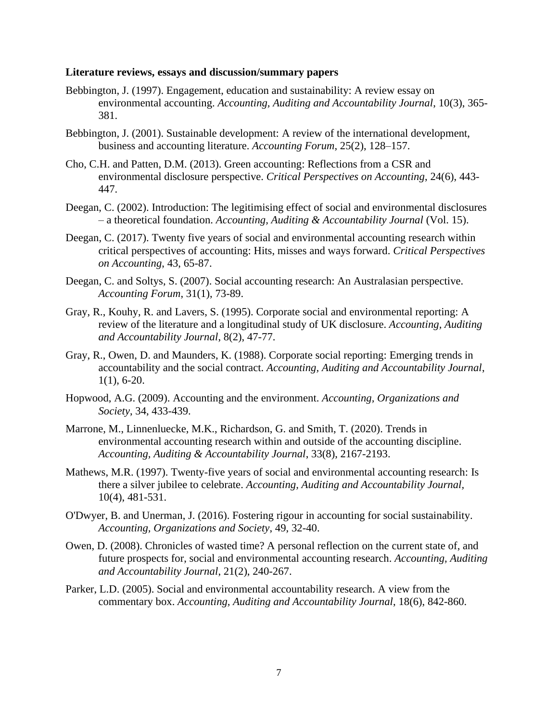### **Literature reviews, essays and discussion/summary papers**

- Bebbington, J. (1997). Engagement, education and sustainability: A review essay on environmental accounting. *Accounting, Auditing and Accountability Journal*, 10(3), 365- 381.
- Bebbington, J. (2001). Sustainable development: A review of the international development, business and accounting literature. *Accounting Forum*, 25(2), 128–157.
- Cho, C.H. and Patten, D.M. (2013). Green accounting: Reflections from a CSR and environmental disclosure perspective. *Critical Perspectives on Accounting*, 24(6), 443- 447.
- Deegan, C. (2002). Introduction: The legitimising effect of social and environmental disclosures – a theoretical foundation. *Accounting, Auditing & Accountability Journal* (Vol. 15).
- Deegan, C. (2017). Twenty five years of social and environmental accounting research within critical perspectives of accounting: Hits, misses and ways forward. *Critical Perspectives on Accounting*, 43, 65-87.
- Deegan, C. and Soltys, S. (2007). Social accounting research: An Australasian perspective. *Accounting Forum*, 31(1), 73-89.
- Gray, R., Kouhy, R. and Lavers, S. (1995). Corporate social and environmental reporting: A review of the literature and a longitudinal study of UK disclosure. *Accounting, Auditing and Accountability Journal*, 8(2), 47-77.
- Gray, R., Owen, D. and Maunders, K. (1988). Corporate social reporting: Emerging trends in accountability and the social contract. *Accounting, Auditing and Accountability Journal*, 1(1), 6-20.
- Hopwood, A.G. (2009). Accounting and the environment. *Accounting, Organizations and Society*, 34, 433-439.
- Marrone, M., Linnenluecke, M.K., Richardson, G. and Smith, T. (2020). Trends in environmental accounting research within and outside of the accounting discipline. *Accounting, Auditing & Accountability Journal*, 33(8), 2167-2193.
- Mathews, M.R. (1997). Twenty-five years of social and environmental accounting research: Is there a silver jubilee to celebrate. *Accounting, Auditing and Accountability Journal,*  10(4), 481-531.
- O'Dwyer, B. and Unerman, J. (2016). Fostering rigour in accounting for social sustainability. *Accounting, Organizations and Society*, 49, 32-40.
- Owen, D. (2008). Chronicles of wasted time? A personal reflection on the current state of, and future prospects for, social and environmental accounting research. *Accounting, Auditing and Accountability Journal*, 21(2), 240-267.
- Parker, L.D. (2005). Social and environmental accountability research. A view from the commentary box. *Accounting, Auditing and Accountability Journal*, 18(6), 842-860.